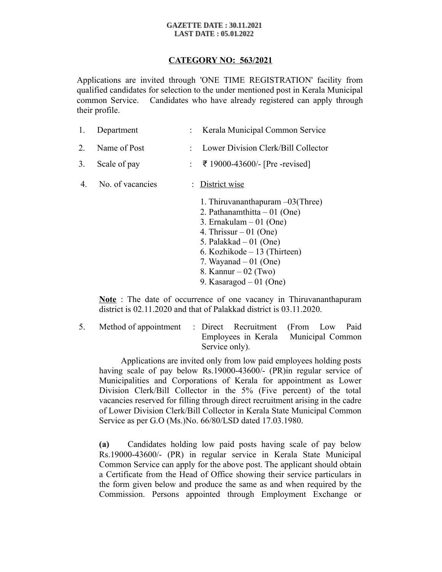#### **GAZETTE DATE: 30.11.2021 LAST DATE : 05.01.2022**

# **CATEGORY NO: 563/2021**

Applications are invited through 'ONE TIME REGISTRATION' facility from qualified candidates for selection to the under mentioned post in Kerala Municipal common Service. Candidates who have already registered can apply through their profile.

| 1.             | Department       | : Kerala Municipal Common Service                                                                                           |
|----------------|------------------|-----------------------------------------------------------------------------------------------------------------------------|
| 2 <sub>1</sub> | Name of Post     | Lower Division Clerk/Bill Collector                                                                                         |
| 3.             | Scale of pay     | $\div$ ₹ 19000-43600/- [Pre -revised]                                                                                       |
| 4              | No. of vacancies | : District wise                                                                                                             |
|                |                  | 1. Thiruvananthapuram $-03$ (Three)<br>2. Pathanamthitta $-01$ (One)<br>3. Ernakulam $-01$ (One)<br>4. Thrissur $-01$ (One) |

- 5. Palakkad 01 (One)
- 6. Kozhikode 13 (Thirteen)
- 7. Wayanad  $-01$  (One)
- 8. Kannur 02 (Two)
- 9. Kasaragod 01 (One)

**Note** : The date of occurrence of one vacancy in Thiruvananthapuram district is 02.11.2020 and that of Palakkad district is 03.11.2020.

5. Method of appointment : Direct Recruitment (From Low Paid Employees in Kerala Municipal Common Service only).

 Applications are invited only from low paid employees holding posts having scale of pay below Rs.19000-43600/- (PR) in regular service of Municipalities and Corporations of Kerala for appointment as Lower Division Clerk/Bill Collector in the 5% (Five percent) of the total vacancies reserved for filling through direct recruitment arising in the cadre of Lower Division Clerk/Bill Collector in Kerala State Municipal Common Service as per G.O (Ms.)No. 66/80/LSD dated 17.03.1980.

**(a)** Candidates holding low paid posts having scale of pay below Rs.19000-43600/- (PR) in regular service in Kerala State Municipal Common Service can apply for the above post. The applicant should obtain a Certificate from the Head of Office showing their service particulars in the form given below and produce the same as and when required by the Commission. Persons appointed through Employment Exchange or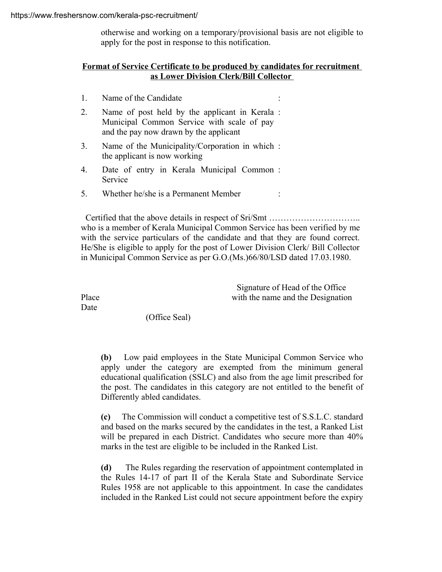otherwise and working on a temporary/provisional basis are not eligible to apply for the post in response to this notification.

## **Format of Service Certificate to be produced by candidates for recruitment as Lower Division Clerk/Bill Collector**

- 1. Name of the Candidate :
- 2. Name of post held by the applicant in Kerala : Municipal Common Service with scale of pay and the pay now drawn by the applicant
- 3. Name of the Municipality/Corporation in which : the applicant is now working
- 4. Date of entry in Kerala Municipal Common : Service
- 5. Whether he/she is a Permanent Member :

 Certified that the above details in respect of Sri/Smt ………………………….. who is a member of Kerala Municipal Common Service has been verified by me with the service particulars of the candidate and that they are found correct. He/She is eligible to apply for the post of Lower Division Clerk/ Bill Collector in Municipal Common Service as per G.O.(Ms.)66/80/LSD dated 17.03.1980.

 Signature of Head of the Office Place with the name and the Designation

Date

(Office Seal)

**(b)** Low paid employees in the State Municipal Common Service who apply under the category are exempted from the minimum general educational qualification (SSLC) and also from the age limit prescribed for the post. The candidates in this category are not entitled to the benefit of Differently abled candidates.

**(c)** The Commission will conduct a competitive test of S.S.L.C. standard and based on the marks secured by the candidates in the test, a Ranked List will be prepared in each District. Candidates who secure more than  $40\%$ marks in the test are eligible to be included in the Ranked List.

**(d)** The Rules regarding the reservation of appointment contemplated in the Rules 14-17 of part II of the Kerala State and Subordinate Service Rules 1958 are not applicable to this appointment. In case the candidates included in the Ranked List could not secure appointment before the expiry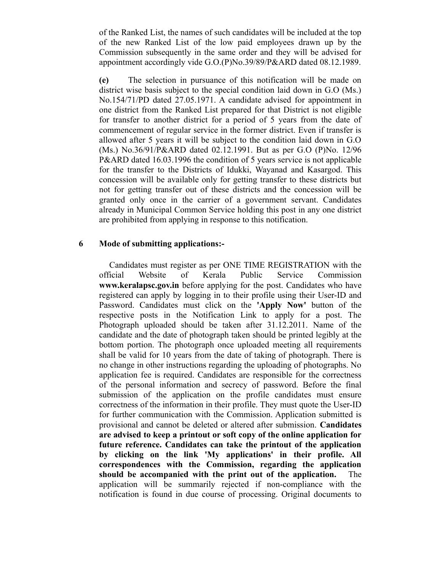of the Ranked List, the names of such candidates will be included at the top of the new Ranked List of the low paid employees drawn up by the Commission subsequently in the same order and they will be advised for appointment accordingly vide G.O.(P)No.39/89/P&ARD dated 08.12.1989.

**(e)** The selection in pursuance of this notification will be made on district wise basis subject to the special condition laid down in G.O (Ms.) No.154/71/PD dated 27.05.1971. A candidate advised for appointment in one district from the Ranked List prepared for that District is not eligible for transfer to another district for a period of 5 years from the date of commencement of regular service in the former district. Even if transfer is allowed after 5 years it will be subject to the condition laid down in G.O (Ms.) No.36/91/P&ARD dated 02.12.1991. But as per G.O (P)No. 12/96 P&ARD dated 16.03.1996 the condition of 5 years service is not applicable for the transfer to the Districts of Idukki, Wayanad and Kasargod. This concession will be available only for getting transfer to these districts but not for getting transfer out of these districts and the concession will be granted only once in the carrier of a government servant. Candidates already in Municipal Common Service holding this post in any one district are prohibited from applying in response to this notification.

### **6 Mode of submitting applications:-**

 Candidates must register as per ONE TIME REGISTRATION with the official Website of Kerala Public Service Commission **www.keralapsc.gov.in** before applying for the post. Candidates who have registered can apply by logging in to their profile using their User-ID and Password. Candidates must click on the **'Apply Now'** button of the respective posts in the Notification Link to apply for a post. The Photograph uploaded should be taken after 31.12.2011. Name of the candidate and the date of photograph taken should be printed legibly at the bottom portion. The photograph once uploaded meeting all requirements shall be valid for 10 years from the date of taking of photograph. There is no change in other instructions regarding the uploading of photographs. No application fee is required. Candidates are responsible for the correctness of the personal information and secrecy of password. Before the final submission of the application on the profile candidates must ensure correctness of the information in their profile. They must quote the User-ID for further communication with the Commission. Application submitted is provisional and cannot be deleted or altered after submission. **Candidates are advised to keep a printout or soft copy of the online application for future reference. Candidates can take the printout of the application by clicking on the link 'My applications' in their profile. All correspondences with the Commission, regarding the application should be accompanied with the print out of the application.** The application will be summarily rejected if non-compliance with the notification is found in due course of processing. Original documents to